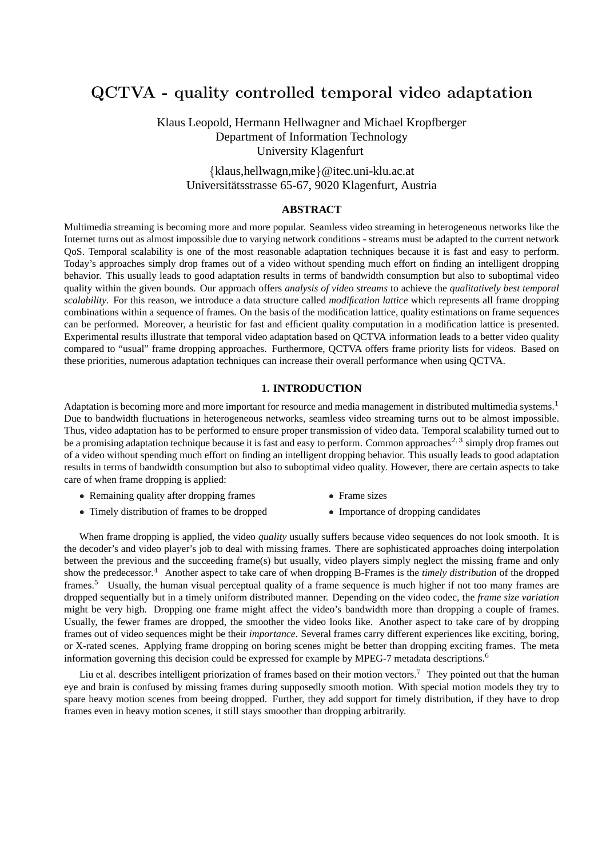# QCTVA - quality controlled temporal video adaptation

Klaus Leopold, Hermann Hellwagner and Michael Kropfberger Department of Information Technology University Klagenfurt

# {klaus,hellwagn,mike}@itec.uni-klu.ac.at Universitatsstrasse 65-67, 9020 Klagenfurt, Austria ¨

# **ABSTRACT**

Multimedia streaming is becoming more and more popular. Seamless video streaming in heterogeneous networks like the Internet turns out as almost impossible due to varying network conditions - streams must be adapted to the current network QoS. Temporal scalability is one of the most reasonable adaptation techniques because it is fast and easy to perform. Today's approaches simply drop frames out of a video without spending much effort on finding an intelligent dropping behavior. This usually leads to good adaptation results in terms of bandwidth consumption but also to suboptimal video quality within the given bounds. Our approach offers *analysis of video streams* to achieve the *qualitatively best temporal scalability*. For this reason, we introduce a data structure called *modification lattice* which represents all frame dropping combinations within a sequence of frames. On the basis of the modification lattice, quality estimations on frame sequences can be performed. Moreover, a heuristic for fast and efficient quality computation in a modification lattice is presented. Experimental results illustrate that temporal video adaptation based on QCTVA information leads to a better video quality compared to "usual" frame dropping approaches. Furthermore, QCTVA offers frame priority lists for videos. Based on these priorities, numerous adaptation techniques can increase their overall performance when using QCTVA.

## **1. INTRODUCTION**

Adaptation is becoming more and more important for resource and media management in distributed multimedia systems.<sup>1</sup> Due to bandwidth fluctuations in heterogeneous networks, seamless video streaming turns out to be almost impossible. Thus, video adaptation has to be performed to ensure proper transmission of video data. Temporal scalability turned out to be a promising adaptation technique because it is fast and easy to perform. Common approaches<sup>2, 3</sup> simply drop frames out of a video without spending much effort on finding an intelligent dropping behavior. This usually leads to good adaptation results in terms of bandwidth consumption but also to suboptimal video quality. However, there are certain aspects to take care of when frame dropping is applied:

- Remaining quality after dropping frames
- Timely distribution of frames to be dropped
- Frame sizes
	- Importance of dropping candidates

When frame dropping is applied, the video *quality* usually suffers because video sequences do not look smooth. It is the decoder's and video player's job to deal with missing frames. There are sophisticated approaches doing interpolation between the previous and the succeeding frame(s) but usually, video players simply neglect the missing frame and only show the predecessor.<sup>4</sup> Another aspect to take care of when dropping B-Frames is the *timely distribution* of the dropped frames.<sup>5</sup> Usually, the human visual perceptual quality of a frame sequence is much higher if not too many frames are dropped sequentially but in a timely uniform distributed manner. Depending on the video codec, the *frame size variation* might be very high. Dropping one frame might affect the video's bandwidth more than dropping a couple of frames. Usually, the fewer frames are dropped, the smoother the video looks like. Another aspect to take care of by dropping frames out of video sequences might be their *importance*. Several frames carry different experiences like exciting, boring, or X-rated scenes. Applying frame dropping on boring scenes might be better than dropping exciting frames. The meta information governing this decision could be expressed for example by MPEG-7 metadata descriptions.<sup>6</sup>

Liu et al. describes intelligent priorization of frames based on their motion vectors.<sup>7</sup> They pointed out that the human eye and brain is confused by missing frames during supposedly smooth motion. With special motion models they try to spare heavy motion scenes from beeing dropped. Further, they add support for timely distribution, if they have to drop frames even in heavy motion scenes, it still stays smoother than dropping arbitrarily.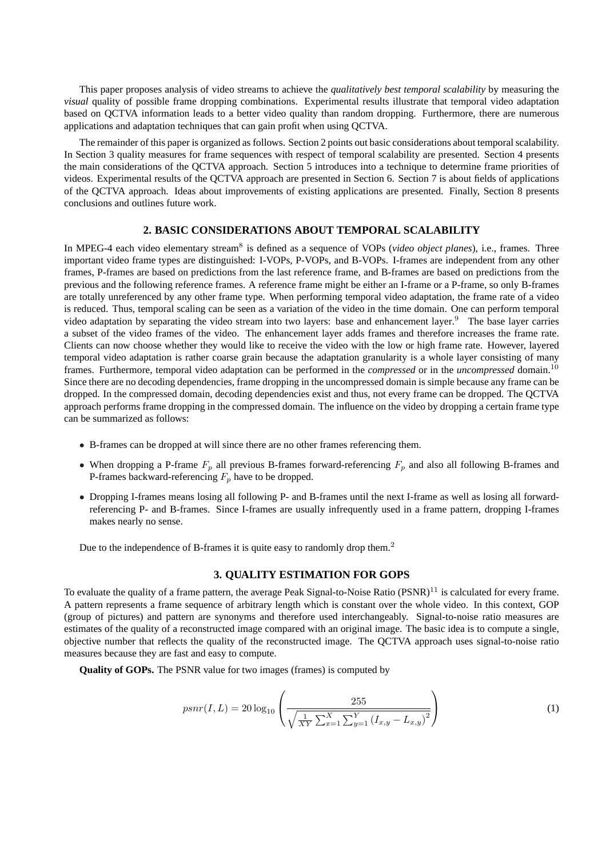This paper proposes analysis of video streams to achieve the *qualitatively best temporal scalability* by measuring the *visual* quality of possible frame dropping combinations. Experimental results illustrate that temporal video adaptation based on QCTVA information leads to a better video quality than random dropping. Furthermore, there are numerous applications and adaptation techniques that can gain profit when using QCTVA.

The remainder of this paper is organized as follows. Section 2 points out basic considerations about temporal scalability. In Section 3 quality measures for frame sequences with respect of temporal scalability are presented. Section 4 presents the main considerations of the QCTVA approach. Section 5 introduces into a technique to determine frame priorities of videos. Experimental results of the QCTVA approach are presented in Section 6. Section 7 is about fields of applications of the QCTVA approach. Ideas about improvements of existing applications are presented. Finally, Section 8 presents conclusions and outlines future work.

# **2. BASIC CONSIDERATIONS ABOUT TEMPORAL SCALABILITY**

In MPEG-4 each video elementary stream<sup>8</sup> is defined as a sequence of VOPs (*video object planes*), i.e., frames. Three important video frame types are distinguished: I-VOPs, P-VOPs, and B-VOPs. I-frames are independent from any other frames, P-frames are based on predictions from the last reference frame, and B-frames are based on predictions from the previous and the following reference frames. A reference frame might be either an I-frame or a P-frame, so only B-frames are totally unreferenced by any other frame type. When performing temporal video adaptation, the frame rate of a video is reduced. Thus, temporal scaling can be seen as a variation of the video in the time domain. One can perform temporal video adaptation by separating the video stream into two layers: base and enhancement layer.<sup>9</sup> The base layer carries a subset of the video frames of the video. The enhancement layer adds frames and therefore increases the frame rate. Clients can now choose whether they would like to receive the video with the low or high frame rate. However, layered temporal video adaptation is rather coarse grain because the adaptation granularity is a whole layer consisting of many frames. Furthermore, temporal video adaptation can be performed in the *compressed* or in the *uncompressed* domain.<sup>10</sup> Since there are no decoding dependencies, frame dropping in the uncompressed domain is simple because any frame can be dropped. In the compressed domain, decoding dependencies exist and thus, not every frame can be dropped. The QCTVA approach performs frame dropping in the compressed domain. The influence on the video by dropping a certain frame type can be summarized as follows:

- B-frames can be dropped at will since there are no other frames referencing them.
- When dropping a P-frame  $F_p$  all previous B-frames forward-referencing  $F_p$  and also all following B-frames and P-frames backward-referencing  $F_p$  have to be dropped.
- Dropping I-frames means losing all following P- and B-frames until the next I-frame as well as losing all forwardreferencing P- and B-frames. Since I-frames are usually infrequently used in a frame pattern, dropping I-frames makes nearly no sense.

Due to the independence of B-frames it is quite easy to randomly drop them.<sup>2</sup>

### **3. QUALITY ESTIMATION FOR GOPS**

To evaluate the quality of a frame pattern, the average Peak Signal-to-Noise Ratio  $(PSNR)^{11}$  is calculated for every frame. A pattern represents a frame sequence of arbitrary length which is constant over the whole video. In this context, GOP (group of pictures) and pattern are synonyms and therefore used interchangeably. Signal-to-noise ratio measures are estimates of the quality of a reconstructed image compared with an original image. The basic idea is to compute a single, objective number that reflects the quality of the reconstructed image. The QCTVA approach uses signal-to-noise ratio measures because they are fast and easy to compute.

**Quality of GOPs.** The PSNR value for two images (frames) is computed by

$$
psnr(I, L) = 20 \log_{10} \left( \frac{255}{\sqrt{\frac{1}{XY} \sum_{x=1}^{X} \sum_{y=1}^{Y} (I_{x,y} - L_{x,y})^2}} \right)
$$
(1)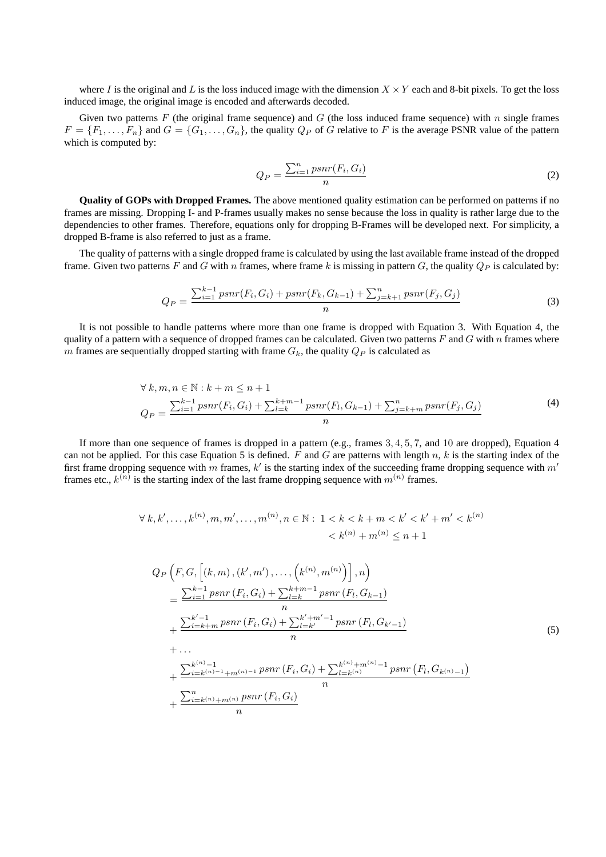where I is the original and L is the loss induced image with the dimension  $X \times Y$  each and 8-bit pixels. To get the loss induced image, the original image is encoded and afterwards decoded.

Given two patterns  $F$  (the original frame sequence) and  $G$  (the loss induced frame sequence) with  $n$  single frames  $F = \{F_1, \ldots, F_n\}$  and  $G = \{G_1, \ldots, G_n\}$ , the quality  $Q_P$  of G relative to F is the average PSNR value of the pattern which is computed by:

$$
Q_P = \frac{\sum_{i=1}^{n} psnr(F_i, G_i)}{n} \tag{2}
$$

**Quality of GOPs with Dropped Frames.** The above mentioned quality estimation can be performed on patterns if no frames are missing. Dropping I- and P-frames usually makes no sense because the loss in quality is rather large due to the dependencies to other frames. Therefore, equations only for dropping B-Frames will be developed next. For simplicity, a dropped B-frame is also referred to just as a frame.

The quality of patterns with a single dropped frame is calculated by using the last available frame instead of the dropped frame. Given two patterns F and G with n frames, where frame k is missing in pattern G, the quality  $Q_P$  is calculated by:

$$
Q_P = \frac{\sum_{i=1}^{k-1} psnr(F_i, G_i) + psnr(F_k, G_{k-1}) + \sum_{j=k+1}^{n} psnr(F_j, G_j)}{n}
$$
(3)

It is not possible to handle patterns where more than one frame is dropped with Equation 3. With Equation 4, the quality of a pattern with a sequence of dropped frames can be calculated. Given two patterns  $F$  and  $G$  with  $n$  frames where m frames are sequentially dropped starting with frame  $G_k$ , the quality  $Q_P$  is calculated as

$$
\forall k, m, n \in \mathbb{N}: k + m \le n + 1
$$
  
\n
$$
Q_P = \frac{\sum_{i=1}^{k-1} psnr(F_i, G_i) + \sum_{l=k}^{k+m-1} psnr(F_l, G_{k-1}) + \sum_{j=k+m}^{n} psnr(F_j, G_j)}{n}
$$
\n(4)

If more than one sequence of frames is dropped in a pattern (e.g., frames 3, 4, 5, 7, and 10 are dropped), Equation 4 can not be applied. For this case Equation 5 is defined.  $F$  and  $G$  are patterns with length  $n$ ,  $k$  is the starting index of the first frame dropping sequence with m frames, k' is the starting index of the succeeding frame dropping sequence with  $m'$ frames etc.,  $k^{(n)}$  is the starting index of the last frame dropping sequence with  $m^{(n)}$  frames.

$$
\forall k, k', \dots, k^{(n)}, m, m', \dots, m^{(n)}, n \in \mathbb{N}: 1 < k < k + m < k' < k' + m' < k^{(n)}
$$
  

$$
< k^{(n)} + m^{(n)} \le n + 1
$$

$$
Q_{P}\left(F, G, \left[(k, m), (k', m'), \ldots, (k^{(n)}, m^{(n)})\right], n\right)
$$
\n
$$
= \frac{\sum_{i=1}^{k-1} psnr(F_i, G_i) + \sum_{l=k}^{k+m-1} psnr(F_l, G_{k-1})}{n}
$$
\n
$$
+ \frac{\sum_{i=k+m}^{k'-1} psnr(F_i, G_i) + \sum_{l=k'}^{k'+m'-1} psnr(F_l, G_{k'-1})}{n}
$$
\n
$$
+ \ldots
$$
\n
$$
+ \frac{\sum_{i=k^{(n)}-1}^{k^{(n)}-1} psnr(F_i, G_i) + \sum_{l=k^{(n)}+m}^{k^{(n)}-1} psnr(F_l, G_{k^{(n)}-1})}{n}
$$
\n
$$
+ \frac{\sum_{i=k^{(n)}+m^{(n)}}^{n} psnr(F_i, G_i)}{n}
$$
\n
$$
+ \frac{\sum_{i=k^{(n)}+m^{(n)}}^{n} psnr(F_i, G_i)}{n}
$$
\n(5)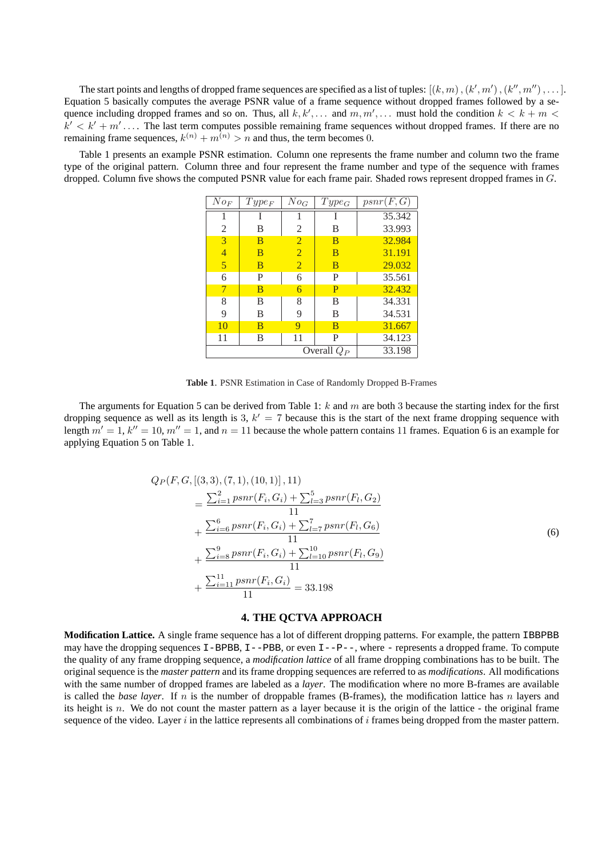The start points and lengths of dropped frame sequences are specified as a list of tuples:  $[(k, m), (k', m'), (k'', m''), \dots]$ . Equation 5 basically computes the average PSNR value of a frame sequence without dropped frames followed by a sequence including dropped frames and so on. Thus, all  $k, k', \ldots$  and  $m, m', \ldots$  must hold the condition  $k < k + m <$  $k' < k' + m' \dots$  The last term computes possible remaining frame sequences without dropped frames. If there are no remaining frame sequences,  $k^{(n)} + m^{(n)} > n$  and thus, the term becomes 0.

Table 1 presents an example PSNR estimation. Column one represents the frame number and column two the frame type of the original pattern. Column three and four represent the frame number and type of the sequence with frames dropped. Column five shows the computed PSNR value for each frame pair. Shaded rows represent dropped frames in G.

| $N o_F$        | $Type_F$ | $No_G$         | $Type_G$ | psnr(F, G) |
|----------------|----------|----------------|----------|------------|
| 1              | Ī        | 1              | T        | 35.342     |
| 2              | B        | 2              | B        | 33.993     |
| 3              | B        | $\overline{2}$ | B        | 32.984     |
| $\overline{4}$ | B        | $\overline{2}$ | B        | 31.191     |
| 5              | B        | $\overline{2}$ | B        | 29.032     |
| 6              | P        | 6              | P        | 35.561     |
| 7              | B        | 6              | P        | 32.432     |
| 8              | B        | 8              | B        | 34.331     |
| 9              | B        | 9              | в        | 34.531     |
| 10             | B        | 9              | B        | 31.667     |
| 11             | B        | 11             | P        | 34.123     |
|                |          | 33.198         |          |            |

**Table 1**. PSNR Estimation in Case of Randomly Dropped B-Frames

The arguments for Equation 5 can be derived from Table 1:  $k$  and  $m$  are both 3 because the starting index for the first dropping sequence as well as its length is 3,  $k' = 7$  because this is the start of the next frame dropping sequence with length  $m' = 1$ ,  $k'' = 10$ ,  $m'' = 1$ , and  $n = 11$  because the whole pattern contains 11 frames. Equation 6 is an example for applying Equation 5 on Table 1.

$$
Q_P(F, G, [(3,3), (7,1), (10,1)], 11)
$$
\n
$$
= \frac{\sum_{i=1}^{2} psnr(F_i, G_i) + \sum_{l=3}^{5} psnr(F_l, G_2)}{11}
$$
\n
$$
+ \frac{\sum_{i=6}^{6} psnr(F_i, G_i) + \sum_{l=7}^{7} psnr(F_l, G_6)}{11}
$$
\n
$$
+ \frac{\sum_{i=8}^{9} psnr(F_i, G_i) + \sum_{l=10}^{10} psnr(F_l, G_9)}{11}
$$
\n
$$
+ \frac{\sum_{i=11}^{11} psnr(F_i, G_i)}{11} = 33.198
$$
\n(6)

## **4. THE QCTVA APPROACH**

**Modification Lattice.** A single frame sequence has a lot of different dropping patterns. For example, the pattern IBBPBB may have the dropping sequences I-BPBB, I--PBB, or even I--P--, where - represents a dropped frame. To compute the quality of any frame dropping sequence, a *modification lattice* of all frame dropping combinations has to be built. The original sequence is the *master pattern* and its frame dropping sequences are referred to as *modifications*. All modifications with the same number of dropped frames are labeled as a *layer*. The modification where no more B-frames are available is called the *base layer*. If n is the number of droppable frames (B-frames), the modification lattice has n layers and its height is  $n$ . We do not count the master pattern as a layer because it is the origin of the lattice - the original frame sequence of the video. Layer  $i$  in the lattice represents all combinations of  $i$  frames being dropped from the master pattern.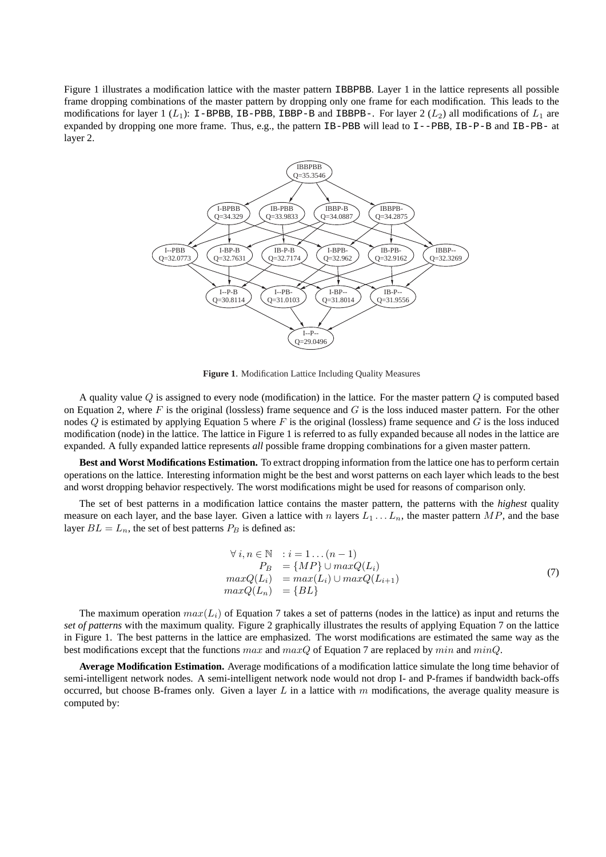Figure 1 illustrates a modification lattice with the master pattern IBBPBB. Layer 1 in the lattice represents all possible frame dropping combinations of the master pattern by dropping only one frame for each modification. This leads to the modifications for layer 1 (L<sub>1</sub>): I-BPBB, IB-PBB, IBBP-B and IBBPB-. For layer 2 (L<sub>2</sub>) all modifications of L<sub>1</sub> are expanded by dropping one more frame. Thus, e.g., the pattern IB-PBB will lead to I--PBB, IB-P-B and IB-PB- at layer 2.



**Figure 1**. Modification Lattice Including Quality Measures

A quality value  $Q$  is assigned to every node (modification) in the lattice. For the master pattern  $Q$  is computed based on Equation 2, where  $F$  is the original (lossless) frame sequence and  $G$  is the loss induced master pattern. For the other nodes  $Q$  is estimated by applying Equation 5 where F is the original (lossless) frame sequence and  $G$  is the loss induced modification (node) in the lattice. The lattice in Figure 1 is referred to as fully expanded because all nodes in the lattice are expanded. A fully expanded lattice represents *all* possible frame dropping combinations for a given master pattern.

**Best and Worst Modifications Estimation.** To extract dropping information from the lattice one has to perform certain operations on the lattice. Interesting information might be the best and worst patterns on each layer which leads to the best and worst dropping behavior respectively. The worst modifications might be used for reasons of comparison only.

The set of best patterns in a modification lattice contains the master pattern, the patterns with the *highest* quality measure on each layer, and the base layer. Given a lattice with n layers  $L_1 \ldots L_n$ , the master pattern MP, and the base layer  $BL = L_n$ , the set of best patterns  $P_B$  is defined as:

$$
\forall i, n \in \mathbb{N} \quad : i = 1 \dots (n - 1)
$$
  
\n
$$
P_B = \{MP\} \cup maxQ(L_i)
$$
  
\n
$$
maxQ(L_i) = max(L_i) \cup maxQ(L_{i+1})
$$
  
\n
$$
maxQ(L_n) = \{BL\}
$$
\n(7)

The maximum operation  $max(L_i)$  of Equation 7 takes a set of patterns (nodes in the lattice) as input and returns the *set of patterns* with the maximum quality. Figure 2 graphically illustrates the results of applying Equation 7 on the lattice in Figure 1. The best patterns in the lattice are emphasized. The worst modifications are estimated the same way as the best modifications except that the functions max and max $Q$  of Equation 7 are replaced by min and min $Q$ .

**Average Modification Estimation.** Average modifications of a modification lattice simulate the long time behavior of semi-intelligent network nodes. A semi-intelligent network node would not drop I- and P-frames if bandwidth back-offs occurred, but choose B-frames only. Given a layer L in a lattice with  $m$  modifications, the average quality measure is computed by: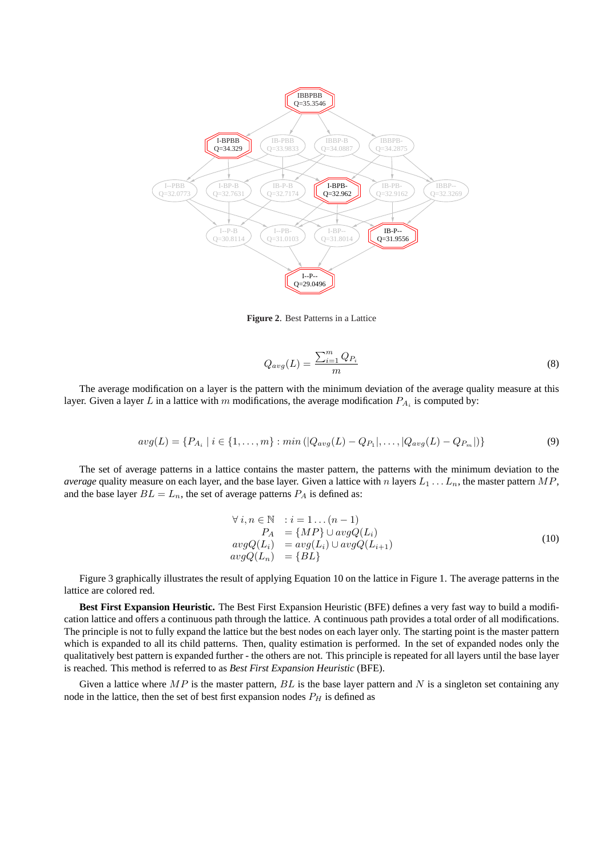

**Figure 2**. Best Patterns in a Lattice

$$
Q_{avg}(L) = \frac{\sum_{i=1}^{m} Q_{P_i}}{m} \tag{8}
$$

The average modification on a layer is the pattern with the minimum deviation of the average quality measure at this layer. Given a layer L in a lattice with m modifications, the average modification  $P_{A_i}$  is computed by:

$$
avg(L) = \{P_{A_i} \mid i \in \{1, ..., m\} : min\left(|Q_{avg}(L) - Q_{P_1}|, ..., |Q_{avg}(L) - Q_{P_m}|\right)\}\
$$
\n(9)

The set of average patterns in a lattice contains the master pattern, the patterns with the minimum deviation to the *average* quality measure on each layer, and the base layer. Given a lattice with n layers  $L_1 \ldots L_n$ , the master pattern  $MP$ , and the base layer  $BL = L_n$ , the set of average patterns  $P_A$  is defined as:

$$
\forall i, n \in \mathbb{N} \quad : i = 1 \dots (n - 1)
$$
  
\n
$$
P_A = \{MP\} \cup avgQ(L_i)
$$
  
\n
$$
avgQ(L_i) = avg(L_i) \cup avgQ(L_{i+1})
$$
  
\n
$$
avgQ(L_n) = \{BL\}
$$
\n(10)

Figure 3 graphically illustrates the result of applying Equation 10 on the lattice in Figure 1. The average patterns in the lattice are colored red.

**Best First Expansion Heuristic.** The Best First Expansion Heuristic (BFE) defines a very fast way to build a modification lattice and offers a continuous path through the lattice. A continuous path provides a total order of all modifications. The principle is not to fully expand the lattice but the best nodes on each layer only. The starting point is the master pattern which is expanded to all its child patterns. Then, quality estimation is performed. In the set of expanded nodes only the qualitatively best pattern is expanded further - the others are not. This principle is repeated for all layers until the base layer is reached. This method is referred to as *Best First Expansion Heuristic* (BFE).

Given a lattice where  $MP$  is the master pattern,  $BL$  is the base layer pattern and N is a singleton set containing any node in the lattice, then the set of best first expansion nodes  $P_H$  is defined as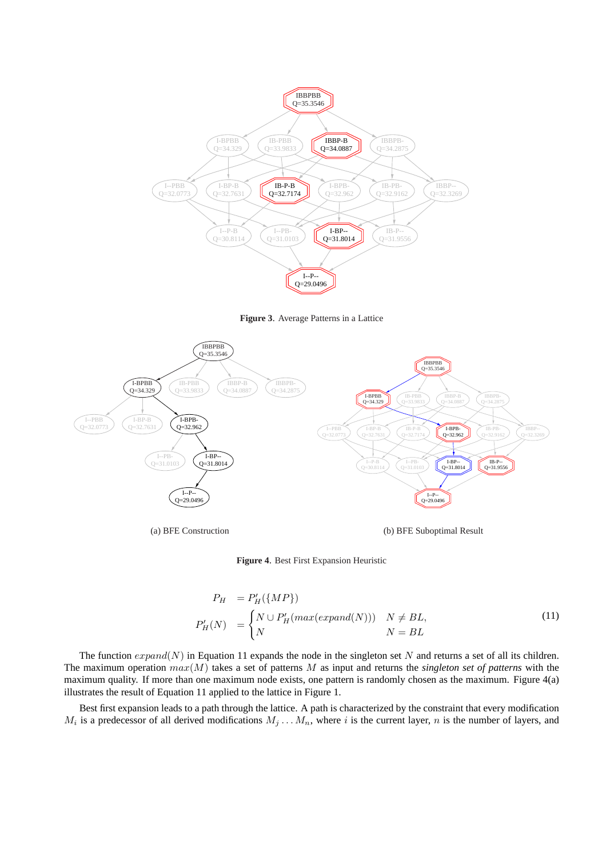

**Figure 3**. Average Patterns in a Lattice



(a) BFE Construction

(b) BFE Suboptimal Result

**Figure 4**. Best First Expansion Heuristic

$$
P_H = P'_H(\{MP\})
$$
  
\n
$$
P'_H(N) = \begin{cases} N \cup P'_H(max(expand(N))) & N \neq BL, \\ N & N = BL \end{cases}
$$
\n(11)

The function  $\text{expand}(N)$  in Equation 11 expands the node in the singleton set N and returns a set of all its children. The maximum operation max(M) takes a set of patterns M as input and returns the *singleton set of patterns* with the maximum quality. If more than one maximum node exists, one pattern is randomly chosen as the maximum. Figure 4(a) illustrates the result of Equation 11 applied to the lattice in Figure 1.

Best first expansion leads to a path through the lattice. A path is characterized by the constraint that every modification  $M_i$  is a predecessor of all derived modifications  $M_j \ldots M_n$ , where i is the current layer, n is the number of layers, and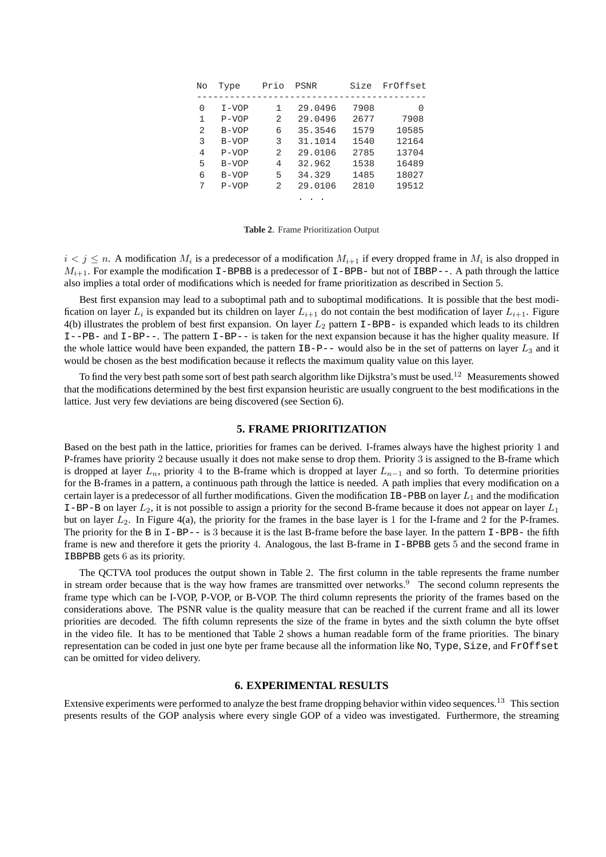| No | Type    | Prio | PSNR    | Size | FrOffset |
|----|---------|------|---------|------|----------|
| 0  | $I-VOP$ | 1    | 29.0496 | 7908 | U        |
| 1  | $P-VOP$ | 2    | 29.0496 | 2677 | 7908     |
| 2  | B-VOP   | 6    | 35.3546 | 1579 | 10585    |
| 3  | B-VOP   | 3    | 31.1014 | 1540 | 12164    |
| 4  | $P-VOP$ | 2    | 29.0106 | 2785 | 13704    |
| 5  | B-VOP   | 4    | 32.962  | 1538 | 16489    |
| 6  | B-VOP   | 5    | 34.329  | 1485 | 18027    |
| 7  | $P-VOP$ | 2    | 29.0106 | 2810 | 19512    |
|    |         |      |         |      |          |

**Table 2**. Frame Prioritization Output

 $i < j \le n$ . A modification  $M_i$  is a predecessor of a modification  $M_{i+1}$  if every dropped frame in  $M_i$  is also dropped in  $M_{i+1}$ . For example the modification I-BPBB is a predecessor of I-BPB- but not of IBBP--. A path through the lattice also implies a total order of modifications which is needed for frame prioritization as described in Section 5.

Best first expansion may lead to a suboptimal path and to suboptimal modifications. It is possible that the best modification on layer  $L_i$  is expanded but its children on layer  $L_{i+1}$  do not contain the best modification of layer  $L_{i+1}$ . Figure 4(b) illustrates the problem of best first expansion. On layer  $L_2$  pattern  $I$ -BPB- is expanded which leads to its children I--PB- and I-BP--. The pattern I-BP-- is taken for the next expansion because it has the higher quality measure. If the whole lattice would have been expanded, the pattern  $IB-P--$  would also be in the set of patterns on layer  $L_3$  and it would be chosen as the best modification because it reflects the maximum quality value on this layer.

To find the very best path some sort of best path search algorithm like Dijkstra's must be used.<sup>12</sup> Measurements showed that the modifications determined by the best first expansion heuristic are usually congruent to the best modifications in the lattice. Just very few deviations are being discovered (see Section 6).

#### **5. FRAME PRIORITIZATION**

Based on the best path in the lattice, priorities for frames can be derived. I-frames always have the highest priority 1 and P-frames have priority 2 because usually it does not make sense to drop them. Priority 3 is assigned to the B-frame which is dropped at layer  $L_n$ , priority 4 to the B-frame which is dropped at layer  $L_{n-1}$  and so forth. To determine priorities for the B-frames in a pattern, a continuous path through the lattice is needed. A path implies that every modification on a certain layer is a predecessor of all further modifications. Given the modification  $IB-PBB$  on layer  $L_1$  and the modification I-BP-B on layer  $L_2$ , it is not possible to assign a priority for the second B-frame because it does not appear on layer  $L_1$ but on layer  $L_2$ . In Figure 4(a), the priority for the frames in the base layer is 1 for the I-frame and 2 for the P-frames. The priority for the B in  $I-BP--$  is 3 because it is the last B-frame before the base layer. In the pattern  $I-BPB-$  the fifth frame is new and therefore it gets the priority 4. Analogous, the last B-frame in I-BPBB gets 5 and the second frame in IBBPBB gets 6 as its priority.

The QCTVA tool produces the output shown in Table 2. The first column in the table represents the frame number in stream order because that is the way how frames are transmitted over networks.<sup>9</sup> The second column represents the frame type which can be I-VOP, P-VOP, or B-VOP. The third column represents the priority of the frames based on the considerations above. The PSNR value is the quality measure that can be reached if the current frame and all its lower priorities are decoded. The fifth column represents the size of the frame in bytes and the sixth column the byte offset in the video file. It has to be mentioned that Table 2 shows a human readable form of the frame priorities. The binary representation can be coded in just one byte per frame because all the information like No, Type, Size, and FrOffset can be omitted for video delivery.

### **6. EXPERIMENTAL RESULTS**

Extensive experiments were performed to analyze the best frame dropping behavior within video sequences.<sup>13</sup> This section presents results of the GOP analysis where every single GOP of a video was investigated. Furthermore, the streaming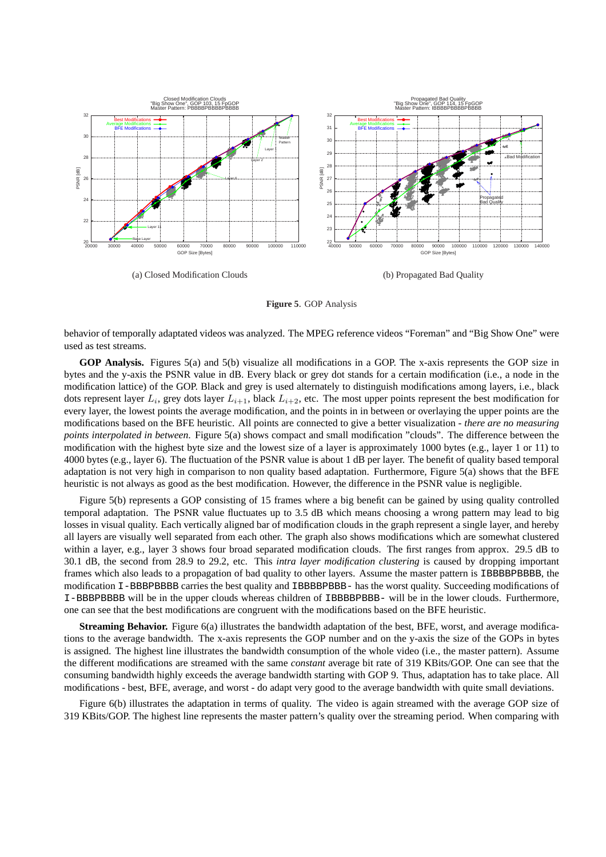

**Figure 5**. GOP Analysis

behavior of temporally adaptated videos was analyzed. The MPEG reference videos "Foreman" and "Big Show One" were used as test streams.

**GOP Analysis.** Figures 5(a) and 5(b) visualize all modifications in a GOP. The x-axis represents the GOP size in bytes and the y-axis the PSNR value in dB. Every black or grey dot stands for a certain modification (i.e., a node in the modification lattice) of the GOP. Black and grey is used alternately to distinguish modifications among layers, i.e., black dots represent layer  $L_i$ , grey dots layer  $L_{i+1}$ , black  $L_{i+2}$ , etc. The most upper points represent the best modification for every layer, the lowest points the average modification, and the points in in between or overlaying the upper points are the modifications based on the BFE heuristic. All points are connected to give a better visualization - *there are no measuring points interpolated in between*. Figure 5(a) shows compact and small modification "clouds". The difference between the modification with the highest byte size and the lowest size of a layer is approximately 1000 bytes (e.g., layer 1 or 11) to 4000 bytes (e.g., layer 6). The fluctuation of the PSNR value is about 1 dB per layer. The benefit of quality based temporal adaptation is not very high in comparison to non quality based adaptation. Furthermore, Figure 5(a) shows that the BFE heuristic is not always as good as the best modification. However, the difference in the PSNR value is negligible.

Figure 5(b) represents a GOP consisting of 15 frames where a big benefit can be gained by using quality controlled temporal adaptation. The PSNR value fluctuates up to 3.5 dB which means choosing a wrong pattern may lead to big losses in visual quality. Each vertically aligned bar of modification clouds in the graph represent a single layer, and hereby all layers are visually well separated from each other. The graph also shows modifications which are somewhat clustered within a layer, e.g., layer 3 shows four broad separated modification clouds. The first ranges from approx. 29.5 dB to 30.1 dB, the second from 28.9 to 29.2, etc. This *intra layer modification clustering* is caused by dropping important frames which also leads to a propagation of bad quality to other layers. Assume the master pattern is IBBBBPBBBB, the modification I-BBBPBBBB carries the best quality and IBBBBPBBB- has the worst quality. Succeeding modifications of I-BBBPBBBB will be in the upper clouds whereas children of IBBBBPBBB- will be in the lower clouds. Furthermore, one can see that the best modifications are congruent with the modifications based on the BFE heuristic.

**Streaming Behavior.** Figure 6(a) illustrates the bandwidth adaptation of the best, BFE, worst, and average modifications to the average bandwidth. The x-axis represents the GOP number and on the y-axis the size of the GOPs in bytes is assigned. The highest line illustrates the bandwidth consumption of the whole video (i.e., the master pattern). Assume the different modifications are streamed with the same *constant* average bit rate of 319 KBits/GOP. One can see that the consuming bandwidth highly exceeds the average bandwidth starting with GOP 9. Thus, adaptation has to take place. All modifications - best, BFE, average, and worst - do adapt very good to the average bandwidth with quite small deviations.

Figure 6(b) illustrates the adaptation in terms of quality. The video is again streamed with the average GOP size of 319 KBits/GOP. The highest line represents the master pattern's quality over the streaming period. When comparing with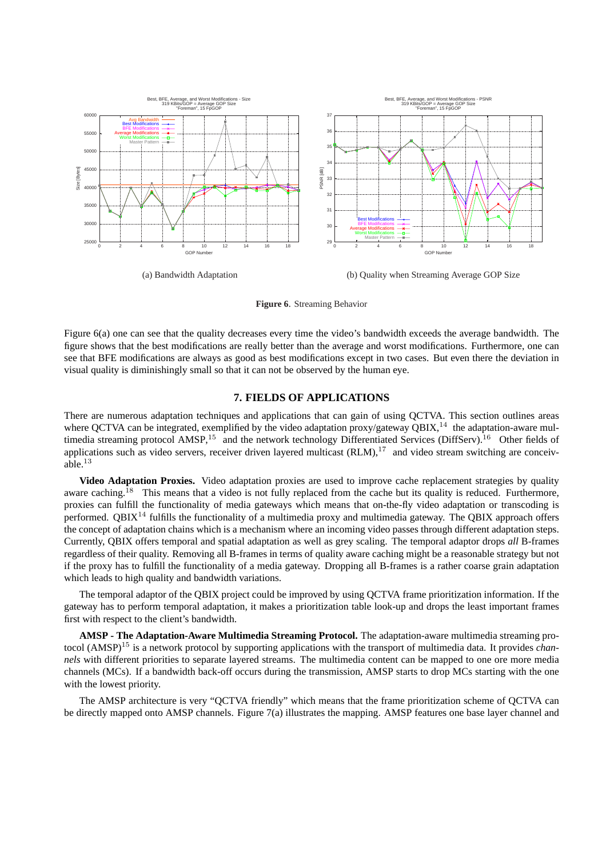

**Figure 6**. Streaming Behavior

Figure 6(a) one can see that the quality decreases every time the video's bandwidth exceeds the average bandwidth. The figure shows that the best modifications are really better than the average and worst modifications. Furthermore, one can see that BFE modifications are always as good as best modifications except in two cases. But even there the deviation in visual quality is diminishingly small so that it can not be observed by the human eye.

# **7. FIELDS OF APPLICATIONS**

There are numerous adaptation techniques and applications that can gain of using QCTVA. This section outlines areas where QCTVA can be integrated, exemplified by the video adaptation proxy/gateway QBIX, <sup>14</sup> the adaptation-aware multimedia streaming protocol AMSP,<sup>15</sup> and the network technology Differentiated Services (DiffServ).<sup>16</sup> Other fields of applications such as video servers, receiver driven layered multicast  $(RLM)$ ,<sup>17</sup> and video stream switching are conceivable.<sup>13</sup>

**Video Adaptation Proxies.** Video adaptation proxies are used to improve cache replacement strategies by quality aware caching.<sup>18</sup> This means that a video is not fully replaced from the cache but its quality is reduced. Furthermore, proxies can fulfill the functionality of media gateways which means that on-the-fly video adaptation or transcoding is performed. QBIX<sup>14</sup> fulfills the functionality of a multimedia proxy and multimedia gateway. The QBIX approach offers the concept of adaptation chains which is a mechanism where an incoming video passes through different adaptation steps. Currently, QBIX offers temporal and spatial adaptation as well as grey scaling. The temporal adaptor drops *all* B-frames regardless of their quality. Removing all B-frames in terms of quality aware caching might be a reasonable strategy but not if the proxy has to fulfill the functionality of a media gateway. Dropping all B-frames is a rather coarse grain adaptation which leads to high quality and bandwidth variations.

The temporal adaptor of the QBIX project could be improved by using QCTVA frame prioritization information. If the gateway has to perform temporal adaptation, it makes a prioritization table look-up and drops the least important frames first with respect to the client's bandwidth.

**AMSP - The Adaptation-Aware Multimedia Streaming Protocol.** The adaptation-aware multimedia streaming protocol (AMSP)<sup>15</sup> is a network protocol by supporting applications with the transport of multimedia data. It provides *channels* with different priorities to separate layered streams. The multimedia content can be mapped to one ore more media channels (MCs). If a bandwidth back-off occurs during the transmission, AMSP starts to drop MCs starting with the one with the lowest priority.

The AMSP architecture is very "QCTVA friendly" which means that the frame prioritization scheme of QCTVA can be directly mapped onto AMSP channels. Figure 7(a) illustrates the mapping. AMSP features one base layer channel and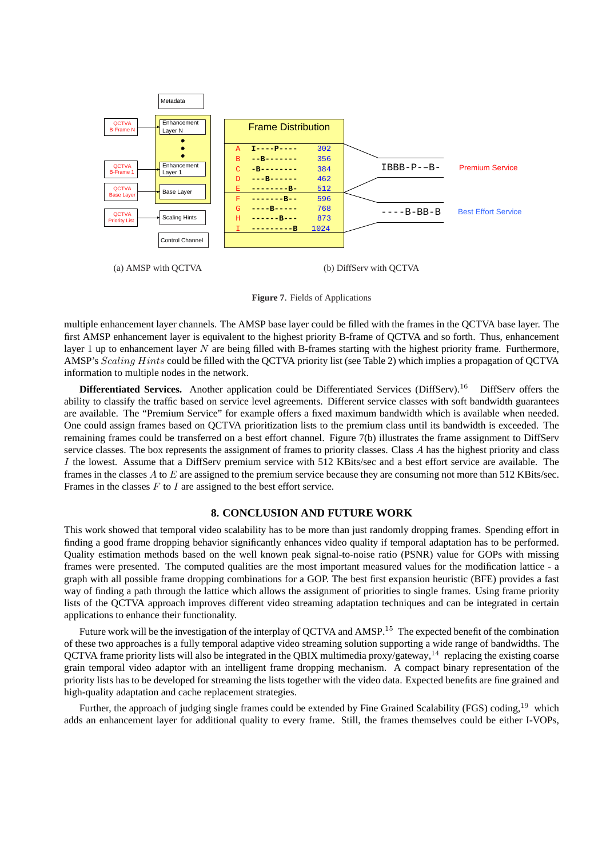

**Figure 7**. Fields of Applications

multiple enhancement layer channels. The AMSP base layer could be filled with the frames in the QCTVA base layer. The first AMSP enhancement layer is equivalent to the highest priority B-frame of QCTVA and so forth. Thus, enhancement layer 1 up to enhancement layer N are being filled with B-frames starting with the highest priority frame. Furthermore, AMSP's Scaling Hints could be filled with the QCTVA priority list (see Table 2) which implies a propagation of QCTVA information to multiple nodes in the network.

**Differentiated Services.** Another application could be Differentiated Services (DiffServ).<sup>16</sup> DiffServ offers the ability to classify the traffic based on service level agreements. Different service classes with soft bandwidth guarantees are available. The "Premium Service" for example offers a fixed maximum bandwidth which is available when needed. One could assign frames based on QCTVA prioritization lists to the premium class until its bandwidth is exceeded. The remaining frames could be transferred on a best effort channel. Figure 7(b) illustrates the frame assignment to DiffServ service classes. The box represents the assignment of frames to priority classes. Class A has the highest priority and class I the lowest. Assume that a DiffServ premium service with 512 KBits/sec and a best effort service are available. The frames in the classes A to E are assigned to the premium service because they are consuming not more than  $512$  KBits/sec. Frames in the classes  $F$  to  $I$  are assigned to the best effort service.

#### **8. CONCLUSION AND FUTURE WORK**

This work showed that temporal video scalability has to be more than just randomly dropping frames. Spending effort in finding a good frame dropping behavior significantly enhances video quality if temporal adaptation has to be performed. Quality estimation methods based on the well known peak signal-to-noise ratio (PSNR) value for GOPs with missing frames were presented. The computed qualities are the most important measured values for the modification lattice - a graph with all possible frame dropping combinations for a GOP. The best first expansion heuristic (BFE) provides a fast way of finding a path through the lattice which allows the assignment of priorities to single frames. Using frame priority lists of the QCTVA approach improves different video streaming adaptation techniques and can be integrated in certain applications to enhance their functionality.

Future work will be the investigation of the interplay of QCTVA and AMSP.<sup>15</sup> The expected benefit of the combination of these two approaches is a fully temporal adaptive video streaming solution supporting a wide range of bandwidths. The QCTVA frame priority lists will also be integrated in the QBIX multimedia proxy/gateway,<sup>14</sup> replacing the existing coarse grain temporal video adaptor with an intelligent frame dropping mechanism. A compact binary representation of the priority lists has to be developed for streaming the lists together with the video data. Expected benefits are fine grained and high-quality adaptation and cache replacement strategies.

Further, the approach of judging single frames could be extended by Fine Grained Scalability (FGS) coding,<sup>19</sup> which adds an enhancement layer for additional quality to every frame. Still, the frames themselves could be either I-VOPs,